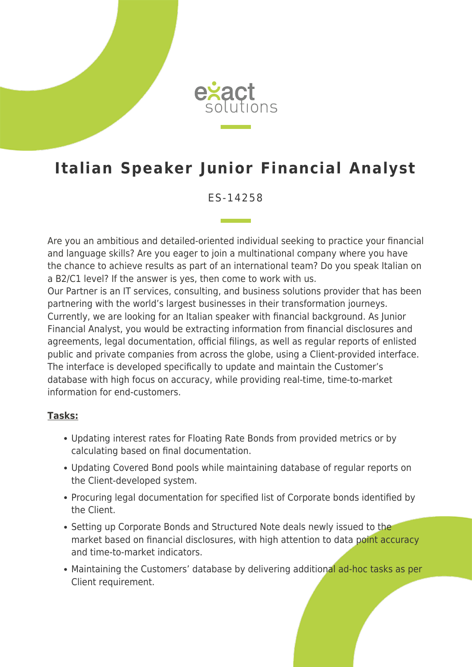

## **Italian Speaker Junior Financial Analyst**

ES-14258

Are you an ambitious and detailed-oriented individual seeking to practice your financial and language skills? Are you eager to join a multinational company where you have the chance to achieve results as part of an international team? Do you speak Italian on a B2/C1 level? If the answer is yes, then come to work with us. Our Partner is an IT services, consulting, and business solutions provider that has been partnering with the world's largest businesses in their transformation journeys. Currently, we are looking for an Italian speaker with financial background. As Junior Financial Analyst, you would be extracting information from financial disclosures and agreements, legal documentation, official filings, as well as regular reports of enlisted public and private companies from across the globe, using a Client-provided interface. The interface is developed specifically to update and maintain the Customer's database with high focus on accuracy, while providing real-time, time-to-market information for end-customers.

## **Tasks:**

- Updating interest rates for Floating Rate Bonds from provided metrics or by calculating based on final documentation.
- Updating Covered Bond pools while maintaining database of regular reports on the Client-developed system.
- Procuring legal documentation for specified list of Corporate bonds identified by the Client.
- Setting up Corporate Bonds and Structured Note deals newly issued to the market based on financial disclosures, with high attention to data point accuracy and time-to-market indicators.
- Maintaining the Customers' database by delivering additional ad-hoc tasks as per Client requirement.